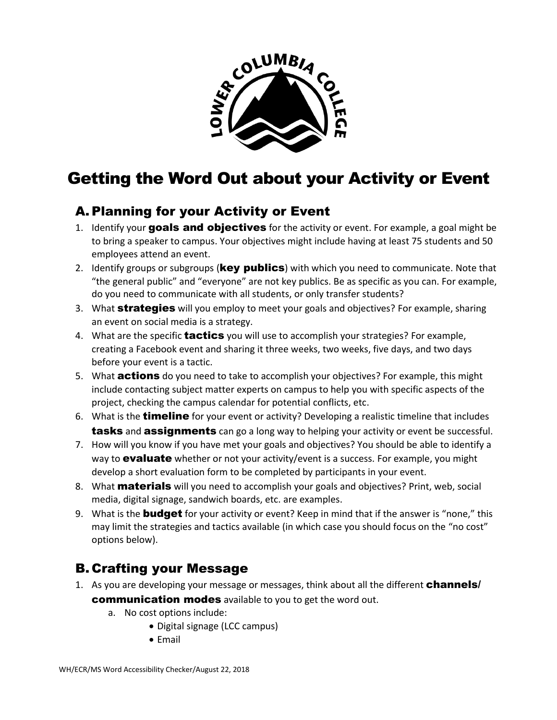

## Getting the Word Out about your Activity or Event

## A. Planning for your Activity or Event

- 1. Identify your goals and objectives for the activity or event. For example, a goal might be to bring a speaker to campus. Your objectives might include having at least 75 students and 50 employees attend an event.
- 2. Identify groups or subgroups (**key publics**) with which you need to communicate. Note that "the general public" and "everyone" are not key publics. Be as specific as you can. For example, do you need to communicate with all students, or only transfer students?
- 3. What **strategies** will you employ to meet your goals and objectives? For example, sharing an event on social media is a strategy.
- 4. What are the specific **tactics** you will use to accomplish your strategies? For example, creating a Facebook event and sharing it three weeks, two weeks, five days, and two days before your event is a tactic.
- 5. What **actions** do you need to take to accomplish your objectives? For example, this might include contacting subject matter experts on campus to help you with specific aspects of the project, checking the campus calendar for potential conflicts, etc.
- 6. What is the **timeline** for your event or activity? Developing a realistic timeline that includes **tasks** and **assignments** can go a long way to helping your activity or event be successful.
- 7. How will you know if you have met your goals and objectives? You should be able to identify a way to **evaluate** whether or not your activity/event is a success. For example, you might develop a short evaluation form to be completed by participants in your event.
- 8. What **materials** will you need to accomplish your goals and objectives? Print, web, social media, digital signage, sandwich boards, etc. are examples.
- 9. What is the **budget** for your activity or event? Keep in mind that if the answer is "none," this may limit the strategies and tactics available (in which case you should focus on the "no cost" options below).

## B. Crafting your Message

- 1. As you are developing your message or messages, think about all the different **channels**/ communication modes available to you to get the word out.
	- a. No cost options include:
		- Digital signage (LCC campus)
		- Email